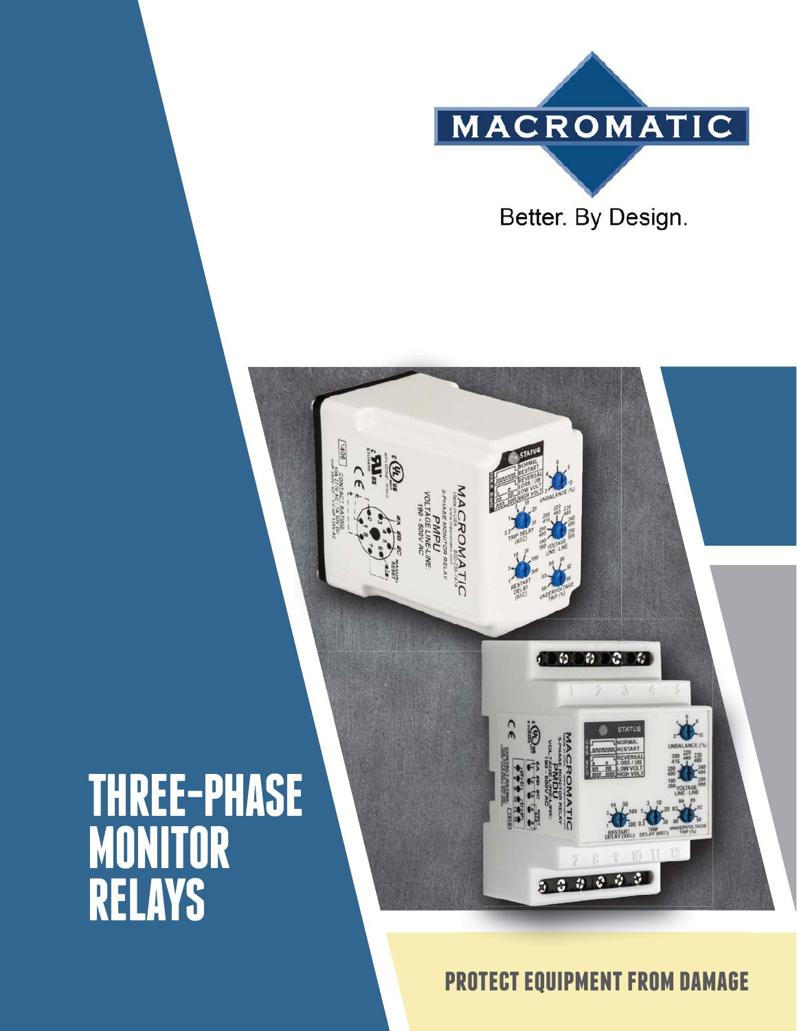

**IACROMATIC** 

# **THREE-PHASE MONITOR RELAYS**



 $3 - 3$ 

A

 $000000$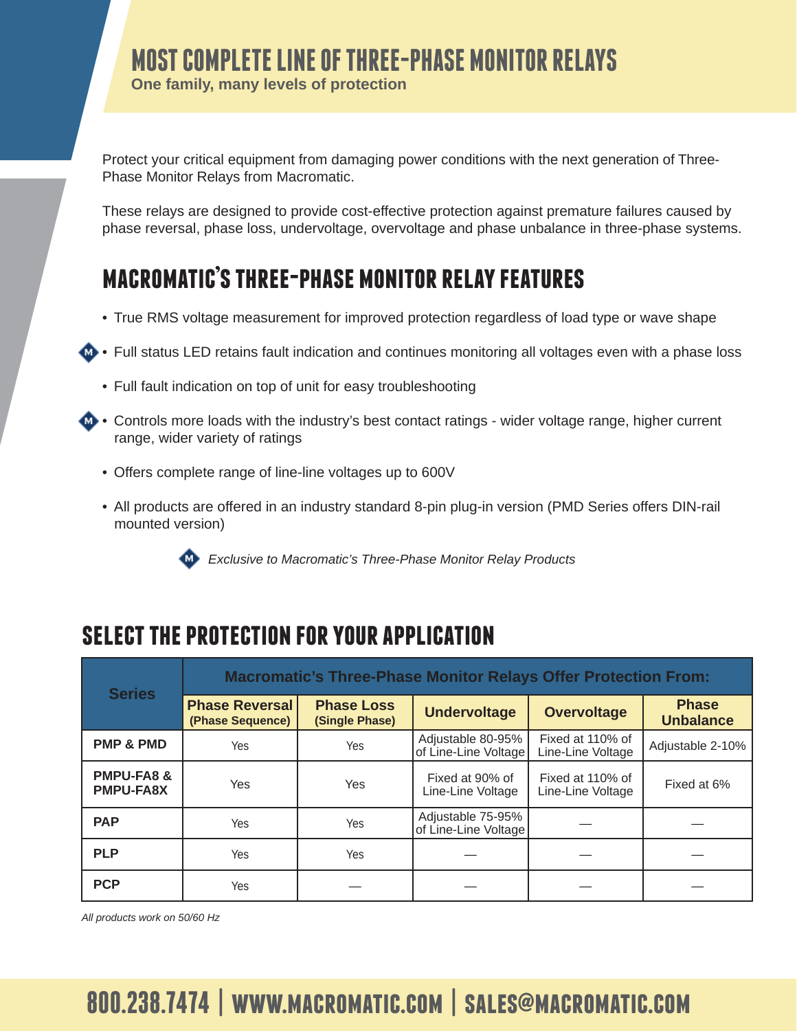## **MOST COMPLETE LINE OF THREE-PHASE MONITOR RELAYS**

**One family, many levels of protection**

Protect your critical equipment from damaging power conditions with the next generation of Three-Phase Monitor Relays from Macromatic.

These relays are designed to provide cost-effective protection against premature failures caused by phase reversal, phase loss, undervoltage, overvoltage and phase unbalance in three-phase systems.

## **macromatic's three-phase monitor relay features**

- True RMS voltage measurement for improved protection regardless of load type or wave shape
- **43 •** Full status LED retains fault indication and continues monitoring all voltages even with a phase loss
	- Full fault indication on top of unit for easy troubleshooting
- **Controls more loads with the industry's best contact ratings wider voltage range, higher current**  range, wider variety of ratings
	- Offers complete range of line-line voltages up to 600V
	- All products are offered in an industry standard 8-pin plug-in version (PMD Series offers DIN-rail mounted version)



*Exclusive to Macromatic's Three-Phase Monitor Relay Products*

## **select the protection for your application**

| <b>Series</b>                             | <b>Macromatic's Three-Phase Monitor Relays Offer Protection From:</b> |                                     |                                           |                                       |                                  |  |  |  |  |
|-------------------------------------------|-----------------------------------------------------------------------|-------------------------------------|-------------------------------------------|---------------------------------------|----------------------------------|--|--|--|--|
|                                           | <b>Phase Reversal</b><br>(Phase Sequence)                             | <b>Phase Loss</b><br>(Single Phase) | <b>Undervoltage</b>                       | <b>Overvoltage</b>                    | <b>Phase</b><br><b>Unbalance</b> |  |  |  |  |
| <b>PMP &amp; PMD</b>                      | Yes                                                                   | Yes                                 | Adjustable 80-95%<br>of Line-Line Voltage | Fixed at 110% of<br>Line-Line Voltage | Adjustable 2-10%                 |  |  |  |  |
| <b>PMPU-FA8 &amp;</b><br><b>PMPU-FA8X</b> | <b>Yes</b>                                                            | <b>Yes</b>                          | Fixed at 90% of<br>Line-Line Voltage      | Fixed at 110% of<br>Line-Line Voltage | Fixed at 6%                      |  |  |  |  |
| <b>PAP</b>                                | Yes                                                                   | Yes                                 | Adjustable 75-95%<br>of Line-Line Voltage |                                       |                                  |  |  |  |  |
| <b>PLP</b>                                | <b>Yes</b>                                                            | Yes                                 |                                           |                                       |                                  |  |  |  |  |
| <b>PCP</b>                                | Yes.                                                                  |                                     |                                           |                                       |                                  |  |  |  |  |

*All products work on 50/60 Hz*

## **800.238.7474 | www.macromatic.com | sales@macromatic.com**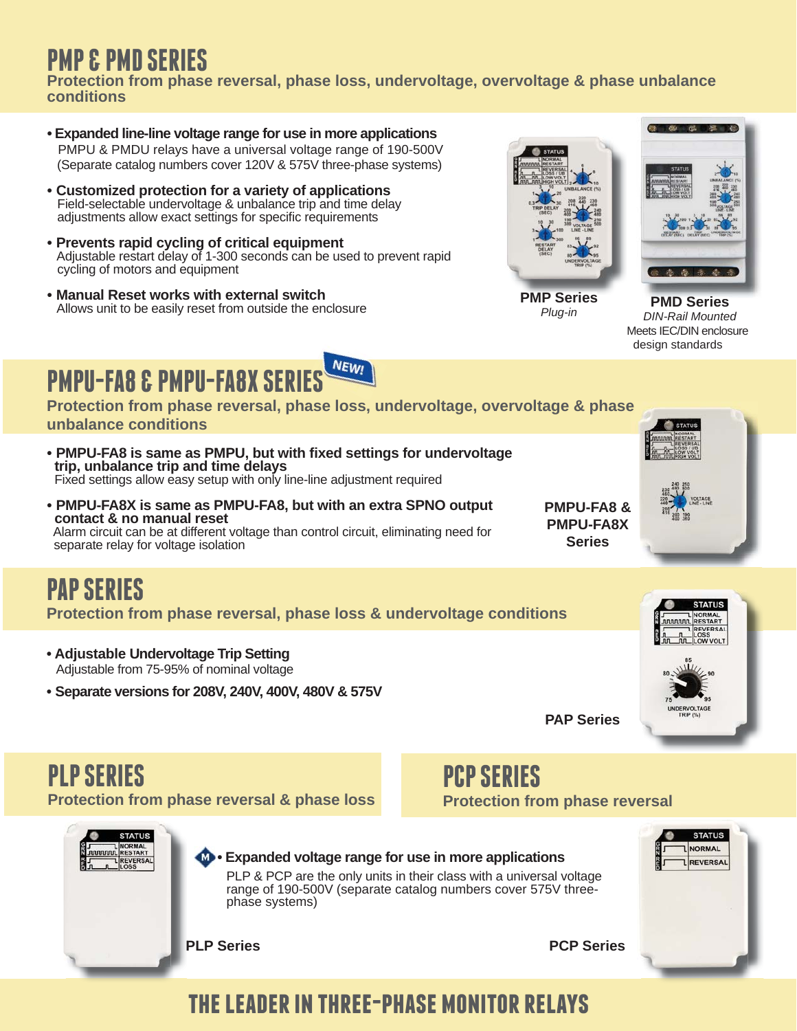## **PMP & PMD SERIES**

**Protection from phase reversal, phase loss, undervoltage, overvoltage & phase unbalance conditions**

- **Expanded line-line voltage range for use in more applications** PMPU & PMDU relays have a universal voltage range of 190-500V (Separate catalog numbers cover 120V & 575V three-phase systems)
- **Customized protection for a variety of applications** Field-selectable undervoltage & unbalance trip and time delay adjustments allow exact settings for specific requirements
- **Prevents rapid cycling of critical equipment** Adjustable restart delay of 1-300 seconds can be used to prevent rapid cycling of motors and equipment
- **Manual Reset works with external switch** Allows unit to be easily reset from outside the enclosure



*Plug-in*



**PMD Series PMD** *DIN-Rail Mounted* Meets IEC/DIN enclosure design standards



- **Protection from phase reversal, phase loss, undervoltage, overvoltage & phase eunbalance conditions**
- **PMPU-FA8 is same as PMPU, but with fi xed settings for undervoltage trip, unbalance trip and time delays** Fixed settings allow easy setup with only line-line adjustment required
- **PMPU-FA8X is same as PMPU-FA8, but with an extra SPNO output contact & no manual reset** Alarm circuit can be at different voltage than control circuit, eliminating need for separate relay for voltage isolation



# **PAP SERIES**

**Protection from phase reversal, phase loss & undervoltage conditions**

- **Adjustable Undervoltage Trip Setting** Adjustable from 75-95% of nominal voltage
- **Separate versions for 208V, 240V, 400V, 480V & 575V**



**PAP Series**

**Series**



### **PCP SERIES Protection from phase reversal**



## **the leader in three-phase monitor relays**